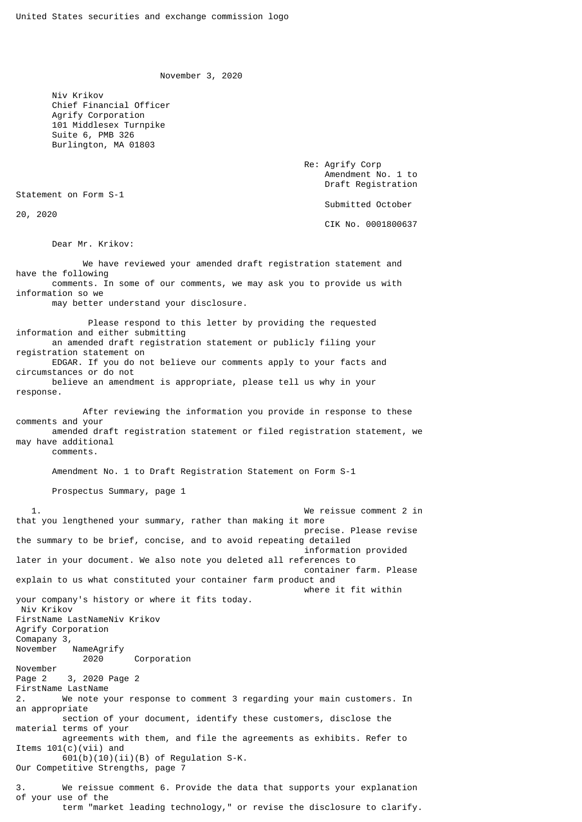November 3, 2020

 Niv Krikov Chief Financial Officer Agrify Corporation 101 Middlesex Turnpike Suite 6, PMB 326 Burlington, MA 01803

> Re: Agrify Corp Amendment No. 1 to Draft Registration

Statement on Form S-1

20, 2020

Submitted October

CIK No. 0001800637

Dear Mr. Krikov:

 We have reviewed your amended draft registration statement and have the following comments. In some of our comments, we may ask you to provide us with information so we may better understand your disclosure. Please respond to this letter by providing the requested information and either submitting an amended draft registration statement or publicly filing your registration statement on EDGAR. If you do not believe our comments apply to your facts and circumstances or do not believe an amendment is appropriate, please tell us why in your response.

 After reviewing the information you provide in response to these comments and your amended draft registration statement or filed registration statement, we may have additional

comments.

Amendment No. 1 to Draft Registration Statement on Form S-1

Prospectus Summary, page 1

 1. We reissue comment 2 in that you lengthened your summary, rather than making it more precise. Please revise the summary to be brief, concise, and to avoid repeating detailed information provided later in your document. We also note you deleted all references to container farm. Please explain to us what constituted your container farm product and where it fit within your company's history or where it fits today. Niv Krikov FirstName LastNameNiv Krikov Agrify Corporation Comapany 3, November NameAgrify 2020 Corporation November Page 2 3, 2020 Page 2 FirstName LastName 2. We note your response to comment 3 regarding your main customers. In an appropriate section of your document, identify these customers, disclose the material terms of your agreements with them, and file the agreements as exhibits. Refer to Items 101(c)(vii) and  $601(b)(10)(ii)(B)$  of Regulation S-K. Our Competitive Strengths, page 7 3. We reissue comment 6. Provide the data that supports your explanation of your use of the term "market leading technology," or revise the disclosure to clarify.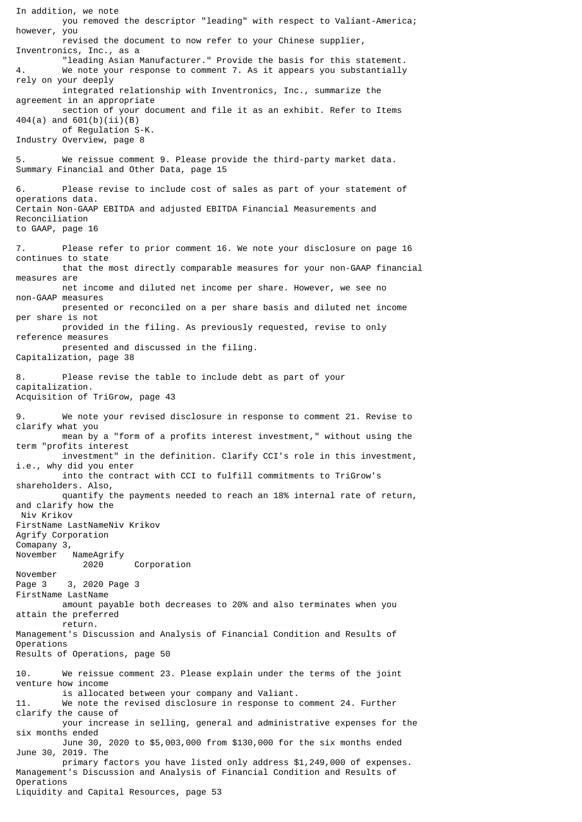In addition, we note you removed the descriptor "leading" with respect to Valiant-America; however, you revised the document to now refer to your Chinese supplier, Inventronics, Inc., as a "leading Asian Manufacturer." Provide the basis for this statement. 4. We note your response to comment 7. As it appears you substantially rely on your deeply integrated relationship with Inventronics, Inc., summarize the agreement in an appropriate section of your document and file it as an exhibit. Refer to Items 404(a) and 601(b)(ii)(B) of Regulation S-K. Industry Overview, page 8 5. We reissue comment 9. Please provide the third-party market data. Summary Financial and Other Data, page 15 Please revise to include cost of sales as part of your statement of operations data. Certain Non-GAAP EBITDA and adjusted EBITDA Financial Measurements and Reconciliation to GAAP, page 16 7. Please refer to prior comment 16. We note your disclosure on page 16 continues to state that the most directly comparable measures for your non-GAAP financial measures are net income and diluted net income per share. However, we see no non-GAAP measures presented or reconciled on a per share basis and diluted net income per share is not provided in the filing. As previously requested, revise to only reference measures presented and discussed in the filing. Capitalization, page 38 8. Please revise the table to include debt as part of your capitalization. Acquisition of TriGrow, page 43 We note your revised disclosure in response to comment 21. Revise to clarify what you mean by a "form of a profits interest investment," without using the term "profits interest investment" in the definition. Clarify CCI's role in this investment, i.e., why did you enter into the contract with CCI to fulfill commitments to TriGrow's shareholders. Also, quantify the payments needed to reach an 18% internal rate of return, and clarify how the Niv Krikov FirstName LastNameNiv Krikov Agrify Corporation Comapany 3, November NameAgrify 2020 Corporation November Page 3 3, 2020 Page 3 FirstName LastName amount payable both decreases to 20% and also terminates when you attain the preferred return. Management's Discussion and Analysis of Financial Condition and Results of Operations Results of Operations, page 50 10. We reissue comment 23. Please explain under the terms of the joint venture how income is allocated between your company and Valiant. 11. We note the revised disclosure in response to comment 24. Further clarify the cause of your increase in selling, general and administrative expenses for the six months ended June 30, 2020 to \$5,003,000 from \$130,000 for the six months ended June 30, 2019. The primary factors you have listed only address \$1,249,000 of expenses. Management's Discussion and Analysis of Financial Condition and Results of Operations Liquidity and Capital Resources, page 53